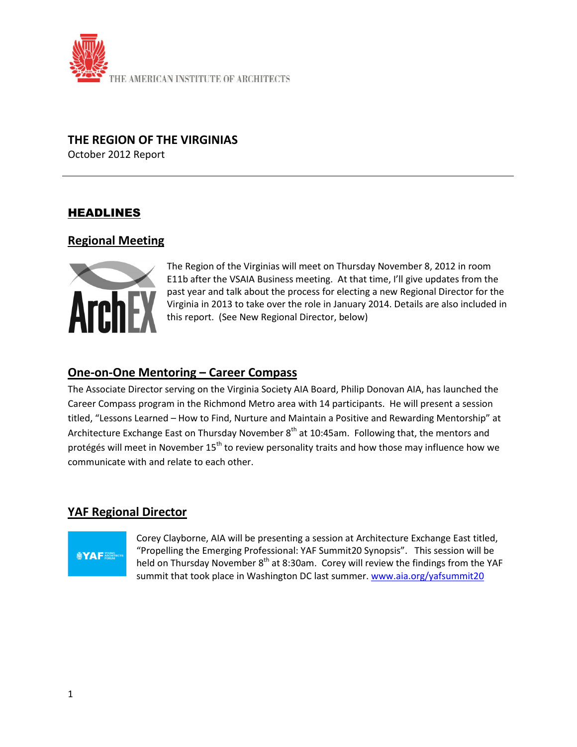

#### **THE REGION OF THE VIRGINIAS**

October 2012 Report

## HEADLINES

#### **Regional Meeting**



The Region of the Virginias will meet on Thursday November 8, 2012 in room E11b after the VSAIA Business meeting. At that time, I'll give updates from the past year and talk about the process for electing a new Regional Director for the Virginia in 2013 to take over the role in January 2014. Details are also included in this report. (See New Regional Director, below)

## **One-on-One Mentoring – Career Compass**

The Associate Director serving on the Virginia Society AIA Board, Philip Donovan AIA, has launched the Career Compass program in the Richmond Metro area with 14 participants. He will present a session titled, "Lessons Learned – How to Find, Nurture and Maintain a Positive and Rewarding Mentorship" at Architecture Exchange East on Thursday November  $8<sup>th</sup>$  at 10:45am. Following that, the mentors and protégés will meet in November 15<sup>th</sup> to review personality traits and how those may influence how we communicate with and relate to each other.

### **YAF Regional Director**

### **NAF**

Corey Clayborne, AIA will be presenting a session at Architecture Exchange East titled, "Propelling the Emerging Professional: YAF Summit20 Synopsis". This session will be held on Thursday November  $8<sup>th</sup>$  at 8:30am. Corey will review the findings from the YAF summit that took place in Washington DC last summer. [www.aia.org/yafsummit20](http://www.aia.org/yafsummit20)